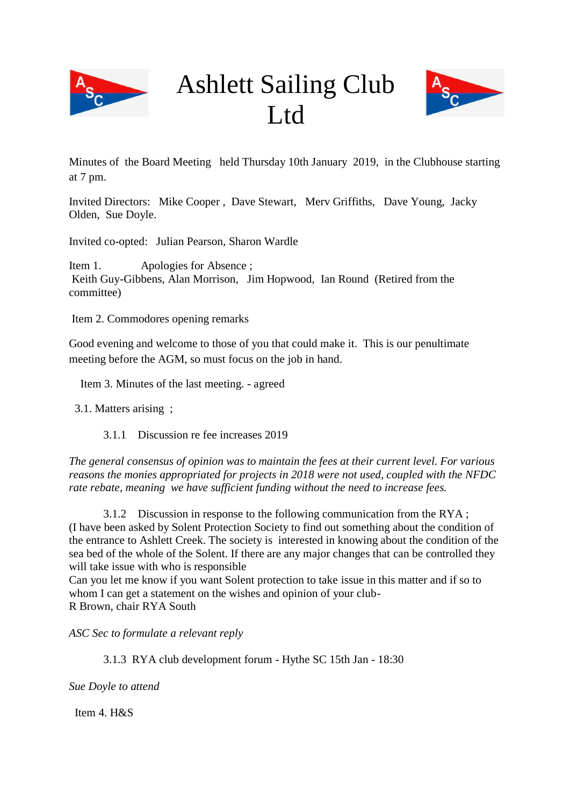

# Ashlett Sailing Club L<sub>td</sub>



Minutes of the Board Meeting held Thursday 10th January 2019, in the Clubhouse starting at 7 pm.

Invited Directors: Mike Cooper , Dave Stewart, Merv Griffiths, Dave Young, Jacky Olden, Sue Doyle.

Invited co-opted: Julian Pearson, Sharon Wardle

Item 1. Apologies for Absence; Keith Guy-Gibbens, Alan Morrison, Jim Hopwood, Ian Round (Retired from the committee)

Item 2. Commodores opening remarks

Good evening and welcome to those of you that could make it. This is our penultimate meeting before the AGM, so must focus on the job in hand.

Item 3. Minutes of the last meeting. - agreed

3.1. Matters arising ;

3.1.1 Discussion re fee increases 2019

*The general consensus of opinion was to maintain the fees at their current level. For various reasons the monies appropriated for projects in 2018 were not used, coupled with the NFDC rate rebate, meaning we have sufficient funding without the need to increase fees.*

3.1.2 Discussion in response to the following communication from the RYA ; (I have been asked by Solent Protection Society to find out something about the condition of the entrance to Ashlett Creek. The society is interested in knowing about the condition of the sea bed of the whole of the Solent. If there are any major changes that can be controlled they will take issue with who is responsible

Can you let me know if you want Solent protection to take issue in this matter and if so to whom I can get a statement on the wishes and opinion of your club-R Brown, chair RYA South

*ASC Sec to formulate a relevant reply*

3.1.3 RYA club development forum - Hythe SC 15th Jan - 18:30

*Sue Doyle to attend*

Item 4. H&S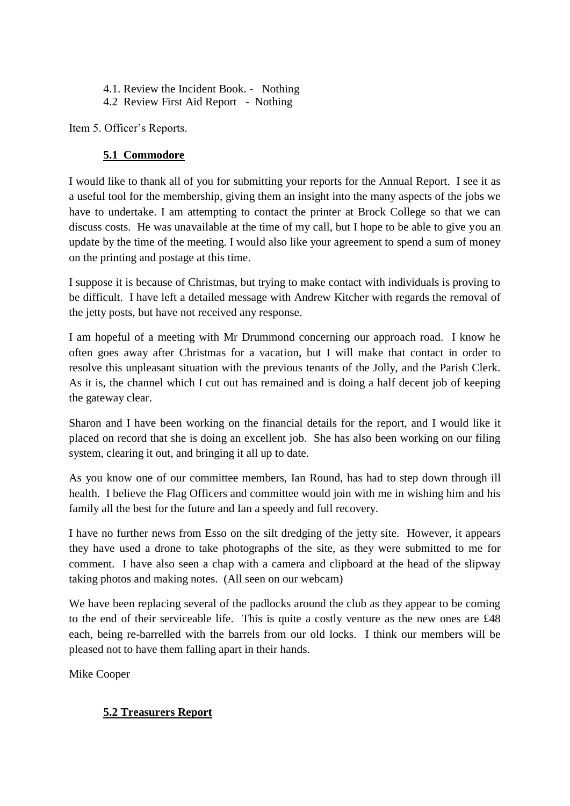- 4.1. Review the Incident Book. Nothing
- 4.2 Review First Aid Report Nothing

Item 5. Officer's Reports.

# **5.1 Commodore**

I would like to thank all of you for submitting your reports for the Annual Report. I see it as a useful tool for the membership, giving them an insight into the many aspects of the jobs we have to undertake. I am attempting to contact the printer at Brock College so that we can discuss costs. He was unavailable at the time of my call, but I hope to be able to give you an update by the time of the meeting. I would also like your agreement to spend a sum of money on the printing and postage at this time.

I suppose it is because of Christmas, but trying to make contact with individuals is proving to be difficult. I have left a detailed message with Andrew Kitcher with regards the removal of the jetty posts, but have not received any response.

I am hopeful of a meeting with Mr Drummond concerning our approach road. I know he often goes away after Christmas for a vacation, but I will make that contact in order to resolve this unpleasant situation with the previous tenants of the Jolly, and the Parish Clerk. As it is, the channel which I cut out has remained and is doing a half decent job of keeping the gateway clear.

Sharon and I have been working on the financial details for the report, and I would like it placed on record that she is doing an excellent job. She has also been working on our filing system, clearing it out, and bringing it all up to date.

As you know one of our committee members, Ian Round, has had to step down through ill health. I believe the Flag Officers and committee would join with me in wishing him and his family all the best for the future and Ian a speedy and full recovery.

I have no further news from Esso on the silt dredging of the jetty site. However, it appears they have used a drone to take photographs of the site, as they were submitted to me for comment. I have also seen a chap with a camera and clipboard at the head of the slipway taking photos and making notes. (All seen on our webcam)

We have been replacing several of the padlocks around the club as they appear to be coming to the end of their serviceable life. This is quite a costly venture as the new ones are £48 each, being re-barrelled with the barrels from our old locks. I think our members will be pleased not to have them falling apart in their hands.

Mike Cooper

# **5.2 Treasurers Report**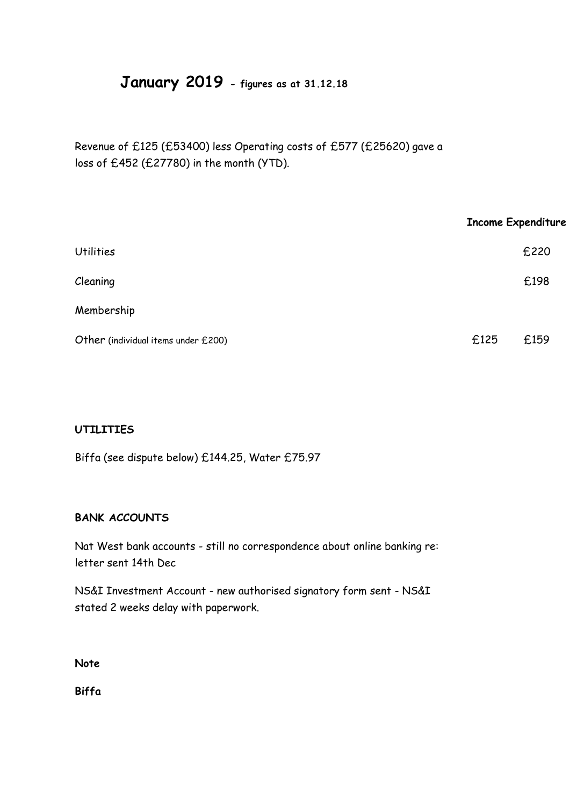# **January 2019 - figures as at 31.12.18**

Revenue of £125 (£53400) less Operating costs of £577 (£25620) gave a loss of £452 (£27780) in the month (YTD).

|                                     | <b>Income Expenditure</b> |      |
|-------------------------------------|---------------------------|------|
| <b>Utilities</b>                    |                           | £220 |
| Cleaning                            |                           | £198 |
| Membership                          |                           |      |
| Other (individual items under £200) | £125                      | £159 |

#### **UTILITIES**

Biffa (see dispute below) £144.25, Water £75.97

#### **BANK ACCOUNTS**

Nat West bank accounts - still no correspondence about online banking re: letter sent 14th Dec

NS&I Investment Account - new authorised signatory form sent - NS&I stated 2 weeks delay with paperwork.

**Note**

**Biffa**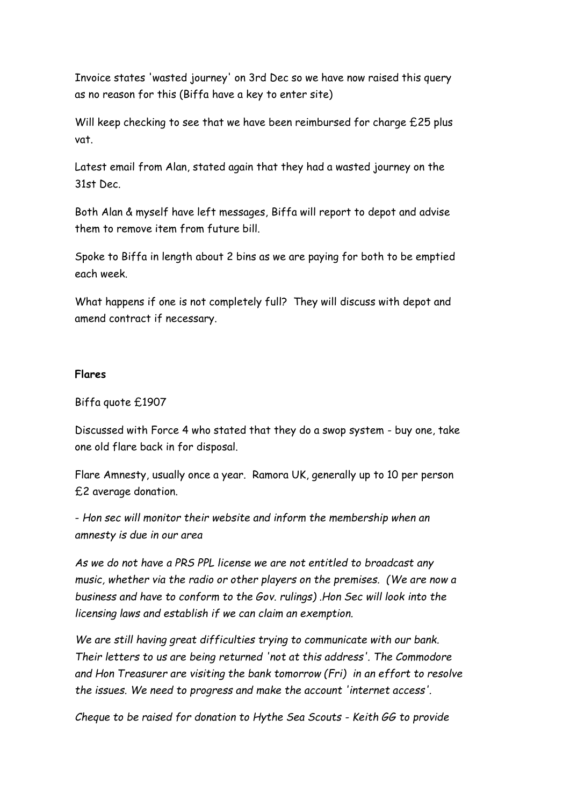Invoice states 'wasted journey' on 3rd Dec so we have now raised this query as no reason for this (Biffa have a key to enter site)

Will keep checking to see that we have been reimbursed for charge £25 plus vat.

Latest email from Alan, stated again that they had a wasted journey on the 31st Dec.

Both Alan & myself have left messages, Biffa will report to depot and advise them to remove item from future bill.

Spoke to Biffa in length about 2 bins as we are paying for both to be emptied each week.

What happens if one is not completely full? They will discuss with depot and amend contract if necessary.

#### **Flares**

#### Biffa quote £1907

Discussed with Force 4 who stated that they do a swop system - buy one, take one old flare back in for disposal.

Flare Amnesty, usually once a year. Ramora UK, generally up to 10 per person £2 average donation.

- *Hon sec will monitor their website and inform the membership when an amnesty is due in our area*

*As we do not have a PRS PPL license we are not entitled to broadcast any music, whether via the radio or other players on the premises. (We are now a business and have to conform to the Gov. rulings) .Hon Sec will look into the licensing laws and establish if we can claim an exemption.*

*We are still having great difficulties trying to communicate with our bank. Their letters to us are being returned 'not at this address'. The Commodore and Hon Treasurer are visiting the bank tomorrow (Fri) in an effort to resolve the issues. We need to progress and make the account 'internet access'.*

*Cheque to be raised for donation to Hythe Sea Scouts - Keith GG to provide*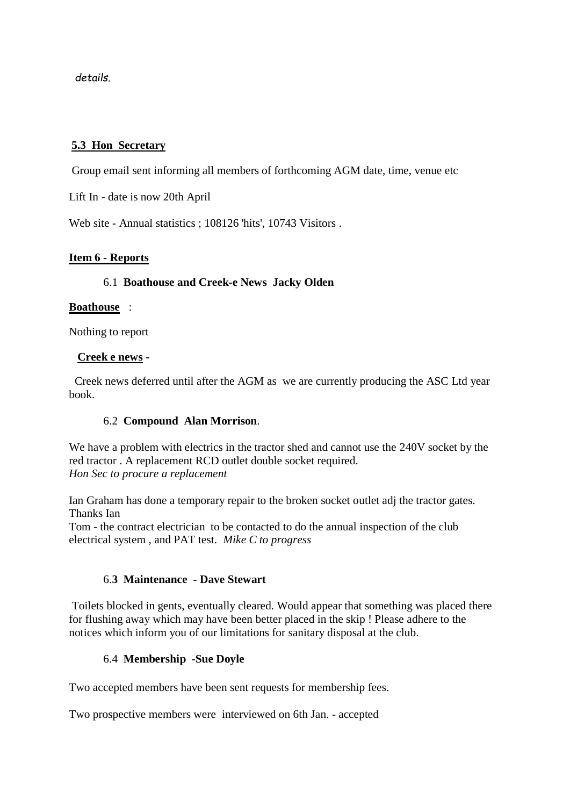*details.*

#### **5.3 Hon Secretary**

Group email sent informing all members of forthcoming AGM date, time, venue etc

Lift In - date is now 20th April

Web site - Annual statistics ; 108126 'hits', 10743 Visitors .

#### **Item 6 - Reports**

#### 6.1 **Boathouse and Creek-e News Jacky Olden**

#### **Boathouse** :

Nothing to report

#### **Creek e news -**

Creek news deferred until after the AGM as we are currently producing the ASC Ltd year book.

#### 6.2 **Compound Alan Morrison**.

We have a problem with electrics in the tractor shed and cannot use the 240V socket by the red tractor . A replacement RCD outlet double socket required. *Hon Sec to procure a replacement*

Ian Graham has done a temporary repair to the broken socket outlet adj the tractor gates. Thanks Ian

Tom - the contract electrician to be contacted to do the annual inspection of the club electrical system , and PAT test. *Mike C to progress*

#### 6.**3 Maintenance - Dave Stewart**

Toilets blocked in gents, eventually cleared. Would appear that something was placed there for flushing away which may have been better placed in the skip ! Please adhere to the notices which inform you of our limitations for sanitary disposal at the club.

#### 6.4 **Membership -Sue Doyle**

Two accepted members have been sent requests for membership fees.

Two prospective members were interviewed on 6th Jan. - accepted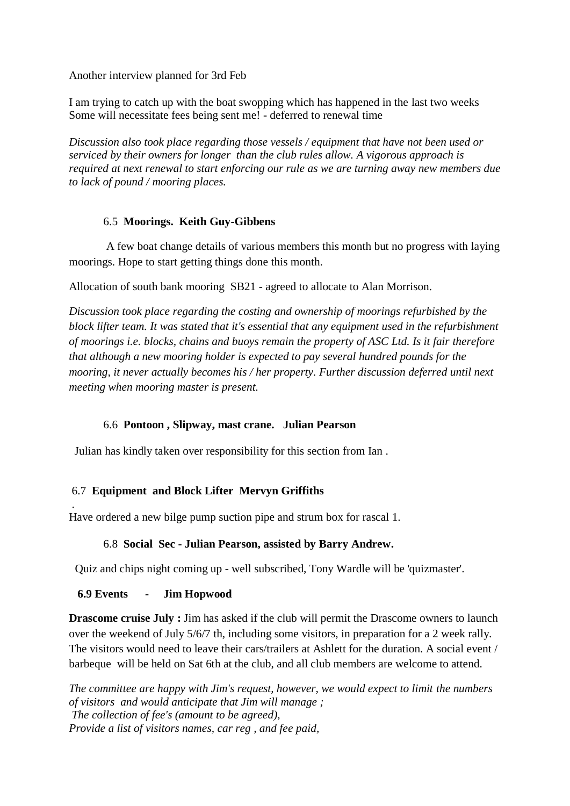Another interview planned for 3rd Feb

I am trying to catch up with the boat swopping which has happened in the last two weeks Some will necessitate fees being sent me! - deferred to renewal time

*Discussion also took place regarding those vessels / equipment that have not been used or serviced by their owners for longer than the club rules allow. A vigorous approach is required at next renewal to start enforcing our rule as we are turning away new members due to lack of pound / mooring places.*

#### 6.5 **Moorings. Keith Guy-Gibbens**

A few boat change details of various members this month but no progress with laying moorings. Hope to start getting things done this month.

Allocation of south bank mooring SB21 - agreed to allocate to Alan Morrison.

*Discussion took place regarding the costing and ownership of moorings refurbished by the block lifter team. It was stated that it's essential that any equipment used in the refurbishment of moorings i.e. blocks, chains and buoys remain the property of ASC Ltd. Is it fair therefore that although a new mooring holder is expected to pay several hundred pounds for the mooring, it never actually becomes his / her property. Further discussion deferred until next meeting when mooring master is present.*

#### 6.6 **Pontoon , Slipway, mast crane. Julian Pearson**

Julian has kindly taken over responsibility for this section from Ian .

## 6.7 **Equipment and Block Lifter Mervyn Griffiths**

. Have ordered a new bilge pump suction pipe and strum box for rascal 1.

#### 6.8 **Social Sec - Julian Pearson, assisted by Barry Andrew.**

Quiz and chips night coming up - well subscribed, Tony Wardle will be 'quizmaster'.

## **6.9 Events - Jim Hopwood**

**Drascome cruise July :** Jim has asked if the club will permit the Drascome owners to launch over the weekend of July 5/6/7 th, including some visitors, in preparation for a 2 week rally. The visitors would need to leave their cars/trailers at Ashlett for the duration. A social event / barbeque will be held on Sat 6th at the club, and all club members are welcome to attend.

*The committee are happy with Jim's request, however, we would expect to limit the numbers of visitors and would anticipate that Jim will manage ; The collection of fee's (amount to be agreed), Provide a list of visitors names, car reg , and fee paid,*